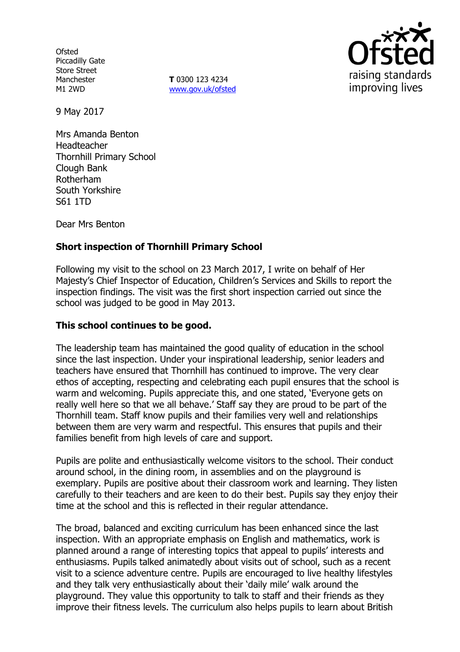**Ofsted** Piccadilly Gate Store Street Manchester M1 2WD

**T** 0300 123 4234 www.gov.uk/ofsted



9 May 2017

Mrs Amanda Benton Headteacher Thornhill Primary School Clough Bank Rotherham South Yorkshire S61 1TD

Dear Mrs Benton

## **Short inspection of Thornhill Primary School**

Following my visit to the school on 23 March 2017, I write on behalf of Her Majesty's Chief Inspector of Education, Children's Services and Skills to report the inspection findings. The visit was the first short inspection carried out since the school was judged to be good in May 2013.

### **This school continues to be good.**

The leadership team has maintained the good quality of education in the school since the last inspection. Under your inspirational leadership, senior leaders and teachers have ensured that Thornhill has continued to improve. The very clear ethos of accepting, respecting and celebrating each pupil ensures that the school is warm and welcoming. Pupils appreciate this, and one stated, 'Everyone gets on really well here so that we all behave.' Staff say they are proud to be part of the Thornhill team. Staff know pupils and their families very well and relationships between them are very warm and respectful. This ensures that pupils and their families benefit from high levels of care and support.

Pupils are polite and enthusiastically welcome visitors to the school. Their conduct around school, in the dining room, in assemblies and on the playground is exemplary. Pupils are positive about their classroom work and learning. They listen carefully to their teachers and are keen to do their best. Pupils say they enjoy their time at the school and this is reflected in their regular attendance.

The broad, balanced and exciting curriculum has been enhanced since the last inspection. With an appropriate emphasis on English and mathematics, work is planned around a range of interesting topics that appeal to pupils' interests and enthusiasms. Pupils talked animatedly about visits out of school, such as a recent visit to a science adventure centre. Pupils are encouraged to live healthy lifestyles and they talk very enthusiastically about their 'daily mile' walk around the playground. They value this opportunity to talk to staff and their friends as they improve their fitness levels. The curriculum also helps pupils to learn about British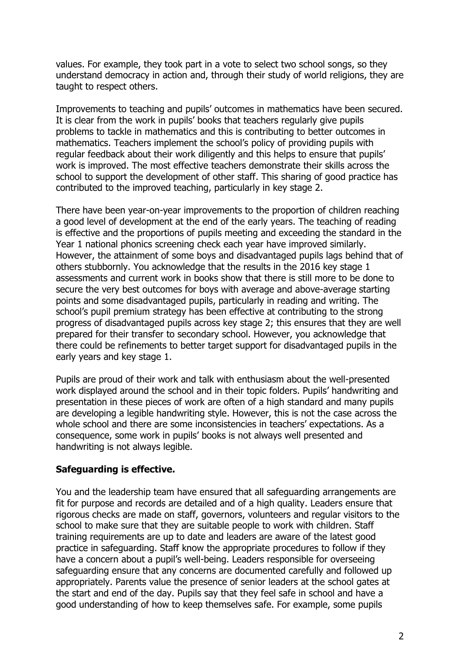values. For example, they took part in a vote to select two school songs, so they understand democracy in action and, through their study of world religions, they are taught to respect others.

Improvements to teaching and pupils' outcomes in mathematics have been secured. It is clear from the work in pupils' books that teachers regularly give pupils problems to tackle in mathematics and this is contributing to better outcomes in mathematics. Teachers implement the school's policy of providing pupils with regular feedback about their work diligently and this helps to ensure that pupils' work is improved. The most effective teachers demonstrate their skills across the school to support the development of other staff. This sharing of good practice has contributed to the improved teaching, particularly in key stage 2.

There have been year-on-year improvements to the proportion of children reaching a good level of development at the end of the early years. The teaching of reading is effective and the proportions of pupils meeting and exceeding the standard in the Year 1 national phonics screening check each year have improved similarly. However, the attainment of some boys and disadvantaged pupils lags behind that of others stubbornly. You acknowledge that the results in the 2016 key stage 1 assessments and current work in books show that there is still more to be done to secure the very best outcomes for boys with average and above-average starting points and some disadvantaged pupils, particularly in reading and writing. The school's pupil premium strategy has been effective at contributing to the strong progress of disadvantaged pupils across key stage 2; this ensures that they are well prepared for their transfer to secondary school. However, you acknowledge that there could be refinements to better target support for disadvantaged pupils in the early years and key stage 1.

Pupils are proud of their work and talk with enthusiasm about the well-presented work displayed around the school and in their topic folders. Pupils' handwriting and presentation in these pieces of work are often of a high standard and many pupils are developing a legible handwriting style. However, this is not the case across the whole school and there are some inconsistencies in teachers' expectations. As a consequence, some work in pupils' books is not always well presented and handwriting is not always legible.

## **Safeguarding is effective.**

You and the leadership team have ensured that all safeguarding arrangements are fit for purpose and records are detailed and of a high quality. Leaders ensure that rigorous checks are made on staff, governors, volunteers and regular visitors to the school to make sure that they are suitable people to work with children. Staff training requirements are up to date and leaders are aware of the latest good practice in safeguarding. Staff know the appropriate procedures to follow if they have a concern about a pupil's well-being. Leaders responsible for overseeing safeguarding ensure that any concerns are documented carefully and followed up appropriately. Parents value the presence of senior leaders at the school gates at the start and end of the day. Pupils say that they feel safe in school and have a good understanding of how to keep themselves safe. For example, some pupils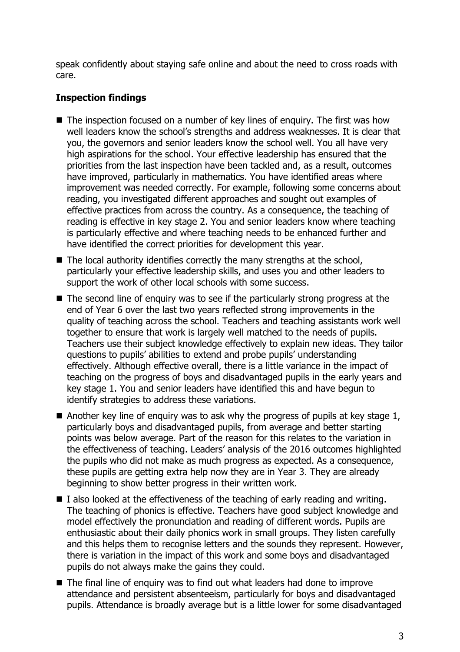speak confidently about staying safe online and about the need to cross roads with care.

# **Inspection findings**

- The inspection focused on a number of key lines of enguiry. The first was how well leaders know the school's strengths and address weaknesses. It is clear that you, the governors and senior leaders know the school well. You all have very high aspirations for the school. Your effective leadership has ensured that the priorities from the last inspection have been tackled and, as a result, outcomes have improved, particularly in mathematics. You have identified areas where improvement was needed correctly. For example, following some concerns about reading, you investigated different approaches and sought out examples of effective practices from across the country. As a consequence, the teaching of reading is effective in key stage 2. You and senior leaders know where teaching is particularly effective and where teaching needs to be enhanced further and have identified the correct priorities for development this year.
- $\blacksquare$  The local authority identifies correctly the many strengths at the school, particularly your effective leadership skills, and uses you and other leaders to support the work of other local schools with some success.
- $\blacksquare$  The second line of enguiry was to see if the particularly strong progress at the end of Year 6 over the last two years reflected strong improvements in the quality of teaching across the school. Teachers and teaching assistants work well together to ensure that work is largely well matched to the needs of pupils. Teachers use their subject knowledge effectively to explain new ideas. They tailor questions to pupils' abilities to extend and probe pupils' understanding effectively. Although effective overall, there is a little variance in the impact of teaching on the progress of boys and disadvantaged pupils in the early years and key stage 1. You and senior leaders have identified this and have begun to identify strategies to address these variations.
- Another key line of enguiry was to ask why the progress of pupils at key stage 1, particularly boys and disadvantaged pupils, from average and better starting points was below average. Part of the reason for this relates to the variation in the effectiveness of teaching. Leaders' analysis of the 2016 outcomes highlighted the pupils who did not make as much progress as expected. As a consequence, these pupils are getting extra help now they are in Year 3. They are already beginning to show better progress in their written work.
- $\blacksquare$  I also looked at the effectiveness of the teaching of early reading and writing. The teaching of phonics is effective. Teachers have good subject knowledge and model effectively the pronunciation and reading of different words. Pupils are enthusiastic about their daily phonics work in small groups. They listen carefully and this helps them to recognise letters and the sounds they represent. However, there is variation in the impact of this work and some boys and disadvantaged pupils do not always make the gains they could.
- The final line of enquiry was to find out what leaders had done to improve attendance and persistent absenteeism, particularly for boys and disadvantaged pupils. Attendance is broadly average but is a little lower for some disadvantaged